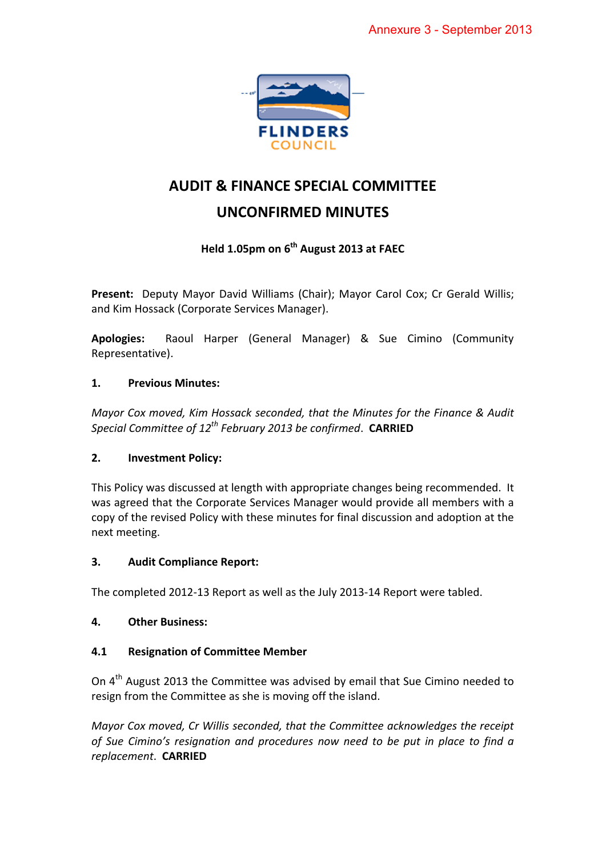

# **AUDIT & FINANCE SPECIAL COMMITTEE**

# **UNCONFIRMED MINUTES**

## **Held 1.05pm on 6th August 2013 at FAEC**

**Present:** Deputy Mayor David Williams (Chair); Mayor Carol Cox; Cr Gerald Willis; and Kim Hossack (Corporate Services Manager).

**Apologies:** Raoul Harper (General Manager) & Sue Cimino (Community Representative).

## **1. Previous Minutes:**

*Mayor Cox moved, Kim Hossack seconded, that the Minutes for the Finance & Audit Special Committee of 12th February 2013 be confirmed*. **CARRIED**

## **2. Investment Policy:**

This Policy was discussed at length with appropriate changes being recommended. It was agreed that the Corporate Services Manager would provide all members with a copy of the revised Policy with these minutes for final discussion and adoption at the next meeting.

## **3. Audit Compliance Report:**

The completed 2012-13 Report as well as the July 2013-14 Report were tabled.

## **4. Other Business:**

## **4.1 Resignation of Committee Member**

On 4<sup>th</sup> August 2013 the Committee was advised by email that Sue Cimino needed to resign from the Committee as she is moving off the island.

*Mayor Cox moved, Cr Willis seconded, that the Committee acknowledges the receipt of Sue Cimino's resignation and procedures now need to be put in place to find a replacement*. **CARRIED**